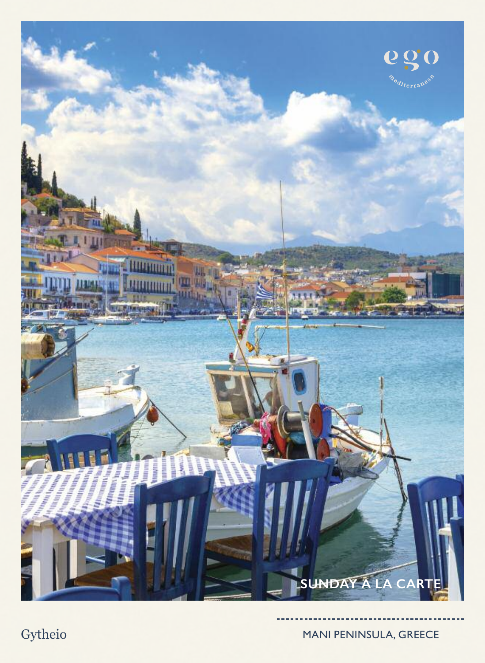

Gytheio MANI PENINSULA, GREECE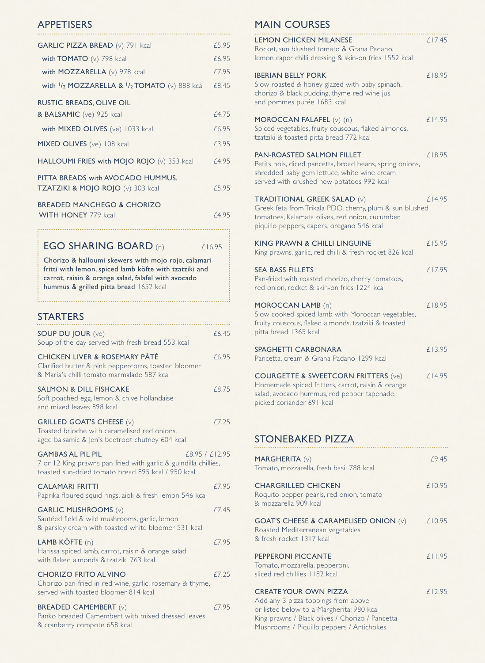#### **APPETISERS**

| GARLIC PIZZA BREAD (v) 791 kcal                                        | £5.95 |
|------------------------------------------------------------------------|-------|
| with TOMATO $(v)$ 798 kcal                                             | £6.95 |
| with MOZZARELLA (v) 978 kcal                                           | £7.95 |
| with $1/2$ MOZZARELLA & $1/2$ TOMATO (v) 888 kcal                      | £8.45 |
| <b>RUSTIC BREADS, OLIVE OIL</b><br>& BALSAMIC (ve) 925 kcal            | £4.75 |
| with MIXED OLIVES (ve) 1033 kcal                                       | £6.95 |
| MIXED OLIVES (ve) 108 kcal                                             | £3.95 |
| HALLOUMI FRIES with MOJO ROJO (v) 353 kcal                             | £4.95 |
| PITTA BREADS with AVOCADO HUMMUS,<br>TZATZIKI & MOJO ROJO (v) 303 kcal | £5.95 |
| <b>BREADED MANCHEGO &amp; CHORIZO</b><br><b>WITH HONEY 779 kcal</b>    | £4.95 |

**EGO SHARING BOARD** (n)  $£16.95$ 

Chorizo & halloumi skewers with mojo rojo, calamari fritti with lemon, spiced lamb köfte with tzatziki and carrot, raisin & orange salad, falafel with avocado hummus & grilled pitta bread 1652 kcal

| <b>STARTERS</b>                                                                                                                                                     |       |
|---------------------------------------------------------------------------------------------------------------------------------------------------------------------|-------|
| <b>SOUP DU JOUR (ve)</b><br>Soup of the day served with fresh bread 553 kcal                                                                                        | £6.45 |
| <b>CHICKEN LIVER &amp; ROSEMARY PÂTÉ</b><br>Clarified butter & pink peppercorns, toasted bloomer<br>& Maria's chilli tomato marmalade 587 kcal                      | £6.95 |
| <b>SALMON &amp; DILL FISHCAKE</b><br>Soft poached egg, lemon & chive hollandaise<br>and mixed leaves 898 kcal                                                       | £8.75 |
| <b>GRILLED GOAT'S CHEESE (v)</b><br>Toasted brioche with caramelised red onions,<br>aged balsamic & Jen's beetroot chutney 604 kcal                                 | £7.25 |
| <b>GAMBAS AL PIL PIL</b><br>£8.95 / £12.95<br>7 or 12 King prawns pan fried with garlic & guindilla chillies,<br>toasted sun-dried tomato bread 895 kcal / 950 kcal |       |
| <b>CALAMARI FRITTI</b><br>Paprika floured squid rings, aioli & fresh lemon 546 kcal                                                                                 | £7.95 |
| <b>GARLIC MUSHROOMS (v)</b><br>Sautéed field & wild mushrooms, garlic, lemon<br>& parsley cream with toasted white bloomer 531 kcal                                 | f7.45 |
| LAMB KÖFTE (n)<br>Harissa spiced lamb, carrot, raisin & orange salad<br>with flaked almonds & tzatziki 763 kcal                                                     | £7.95 |
| <b>CHORIZO FRITO AL VINO</b><br>Chorizo pan-fried in red wine, garlic, rosemary & thyme,<br>served with toasted bloomer 814 kcal                                    | £7.25 |
| <b>BREADED CAMEMBERT (v)</b><br>Panko breaded Camembert with mixed dressed leaves                                                                                   | £7.95 |

& cranberry compote 658 kcal

# MAIN COURSES

| <b>LEMON CHICKEN MILANESE</b><br>Rocket, sun blushed tomato & Grana Padano,<br>lemon caper chilli dressing & skin-on fries 1552 kcal                                                           | £17.45 |
|------------------------------------------------------------------------------------------------------------------------------------------------------------------------------------------------|--------|
| <b>IBERIAN BELLY PORK</b><br>Slow roasted & honey glazed with baby spinach,<br>chorizo & black pudding, thyme red wine jus<br>and pommes purée 1683 kcal                                       | £18.95 |
| MOROCCAN FALAFEL (v) (n)<br>Spiced vegetables, fruity couscous, flaked almonds,<br>tzatziki & toasted pitta bread 772 kcal                                                                     | £14.95 |
| PAN-ROASTED SALMON FILLET<br>Petits pois, diced pancetta, broad beans, spring onions,<br>shredded baby gem lettuce, white wine cream<br>served with crushed new potatoes 992 kcal              | £18.95 |
| <b>TRADITIONAL GREEK SALAD (v)</b><br>Greek feta from Trikala PDO, cherry, plum & sun blushed<br>tomatoes, Kalamata olives, red onion, cucumber,<br>piquillo peppers, capers, oregano 546 kcal | £14.95 |
| <b>KING PRAWN &amp; CHILLI LINGUINE</b><br>King prawns, garlic, red chilli & fresh rocket 826 kcal                                                                                             | £15.95 |
| <b>SEA BASS FILLETS</b><br>Pan-fried with roasted chorizo, cherry tomatoes,<br>red onion, rocket & skin-on fries 1224 kcal                                                                     | £17.95 |
| MOROCCAN LAMB (n)<br>Slow cooked spiced lamb with Moroccan vegetables,<br>fruity couscous, flaked almonds, tzatziki & toasted<br>pitta bread 1365 kcal                                         | £18.95 |
| SPAGHETTI CARBONARA<br>Pancetta, cream & Grana Padano 1299 kcal                                                                                                                                | £13.95 |
| <b>COURGETTE &amp; SWEETCORN FRITTERS (ve)</b><br>Homemade spiced fritters, carrot, raisin & orange<br>salad, avocado hummus, red pepper tapenade,<br>picked coriander 691 kcal                | £14.95 |
|                                                                                                                                                                                                |        |

### STONEBAKED PIZZA

| MARGHERITA (v)<br>Tomato, mozzarella, fresh basil 788 kcal                                                                                                                                                       | £9.45  |
|------------------------------------------------------------------------------------------------------------------------------------------------------------------------------------------------------------------|--------|
| <b>CHARGRILLED CHICKEN</b><br>Roquito pepper pearls, red onion, tomato<br>& mozzarella 909 kcal                                                                                                                  | £10.95 |
| <b>GOAT'S CHEESE &amp; CARAMELISED ONION (v)</b><br>Roasted Mediterranean vegetables<br>& fresh rocket 1317 kcal                                                                                                 | £10.95 |
| <b>PEPPERONI PICCANTE</b><br>Tomato, mozzarella, pepperoni,<br>sliced red chillies 1182 kcal                                                                                                                     | £11.95 |
| <b>CREATE YOUR OWN PIZZA</b><br>Add any 3 pizza toppings from above<br>or listed below to a Margherita: 980 kcal<br>King prawns / Black olives / Chorizo / Pancetta<br>Mushrooms / Piquillo peppers / Artichokes | £12.95 |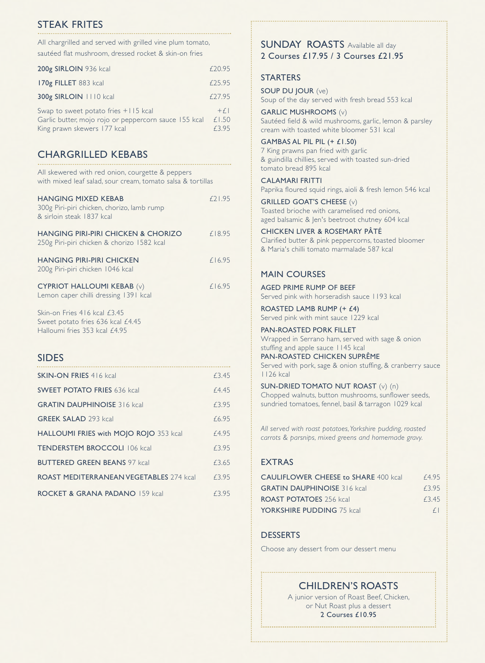# STEAK FRITES

All chargrilled and served with grilled vine plum tomato, sautéed flat mushroom, dressed rocket & skin-on fries

| 200g SIRLOIN 936 kcal                                                                                                        | £20.95                  |
|------------------------------------------------------------------------------------------------------------------------------|-------------------------|
| 170g FILLET 883 kcal                                                                                                         | f25.95                  |
| 300g SIRLOIN 1110 kcal                                                                                                       | f27.95                  |
| Swap to sweet potato fries +115 kcal<br>Garlic butter, mojo rojo or peppercorn sauce 155 kcal<br>King prawn skewers 177 kcal | $+f $<br>£1,50<br>£3.95 |

## CHARGRILLED KEBABS

| All skewered with red onion, courgette & peppers<br>with mixed leaf salad, sour cream, tomato salsa & tortillas |        |
|-----------------------------------------------------------------------------------------------------------------|--------|
| <b>HANGING MIXED KEBAB</b><br>300g Piri-piri chicken, chorizo, lamb rump<br>& sirloin steak 1837 kcal           | £21.95 |
| HANGING PIRI-PIRI CHICKEN & CHORIZO<br>250g Piri-piri chicken & chorizo 1582 kcal                               | £18.95 |
| <b>HANGING PIRI-PIRI CHICKEN</b><br>200g Piri-piri chicken 1046 kcal                                            | £16.95 |
| <b>CYPRIOT HALLOUMI KEBAB (v)</b><br>Lemon caper chilli dressing 1391 kcal                                      | £16.95 |
| Skin-on Fries 416 kcal £3.45<br>Sweet potato fries 636 kcal £4.45<br>Halloumi fries 353 kcal £4.95              |        |

#### SIDES

| <b>SKIN-ON FRIES 416 kcal</b>                  | f3.45 |
|------------------------------------------------|-------|
| <b>SWEET POTATO FRIES 636 kcal</b>             | f4.45 |
| <b>GRATIN DAUPHINOISE 316 kcal</b>             | £3.95 |
| <b>GREEK SALAD 293 kcal</b>                    | £6.95 |
| HALLOUMI FRIES with MOJO ROJO 353 kcal         | £4.95 |
| <b>TENDERSTEM BROCCOLI 106 kcal</b>            | £3.95 |
| <b>BUTTERED GREEN BEANS 97 kcal</b>            | £3.65 |
| <b>ROAST MEDITERRANEAN VEGETABLES 274 kcal</b> | £3.95 |
| <b>ROCKET &amp; GRANA PADANO 159 kcal</b>      | £3.95 |

#### SUNDAY ROASTS Available all day 2 Courses £17.95 / 3 Courses £21.95

#### **STARTERS**

SOUP DU JOUR (ve) Soup of the day served with fresh bread 553 kcal

GARLIC MUSHROOMS (v) Sautéed field & wild mushrooms, garlic, lemon & parsley cream with toasted white bloomer 531 kcal

GAMBAS AL PIL PIL (+ £1.50) 7 King prawns pan fried with garlic & guindilla chillies, served with toasted sun-dried tomato bread 895 kcal

CALAMARI FRITTI Paprika floured squid rings, aioli & fresh lemon 546 kcal

GRILLED GOAT'S CHEESE (v) Toasted brioche with caramelised red onions, aged balsamic & Jen's beetroot chutney 604 kcal

CHICKEN LIVER & ROSEMARY PÂTÉ Clarified butter & pink peppercorns, toasted bloomer & Maria's chilli tomato marmalade 587 kcal

#### MAIN COURSES

AGED PRIME RUMP OF BEEF

Served pink with horseradish sauce 1193 kcal

ROASTED LAMB RUMP (+ £4) Served pink with mint sauce 1229 kcal

PAN-ROASTED PORK FILLET Wrapped in Serrano ham, served with sage & onion

stuffing and apple sauce 1145 kcal PAN-ROASTED CHICKEN SUPRÊME Served with pork, sage & onion stuffing, & cranberry sauce 1126 kcal

SUN-DRIED TOMATO NUT ROAST (v) (n) Chopped walnuts, button mushrooms, sunflower seeds, sundried tomatoes, fennel, basil & tarragon 1029 kcal

*All served with roast potatoes,Yorkshire pudding, roasted carrots & parsnips, mixed greens and homemade gravy.*

#### EXTRAS

| <b>CAULIFLOWER CHEESE to SHARE 400 kcall</b> | £4.95 |
|----------------------------------------------|-------|
| <b>GRATIN DAUPHINOISE 316 kcal</b>           | f3.95 |
| <b>ROAST POTATOES</b> 256 kcal               | f3.45 |
| <b>YORKSHIRE PUDDING 75 kcal</b>             | f     |

#### DESSERTS

Choose any dessert from our dessert menu

# CHILDREN'S ROASTS

A junior version of Roast Beef, Chicken, or Nut Roast plus a dessert 2 Courses £10.95